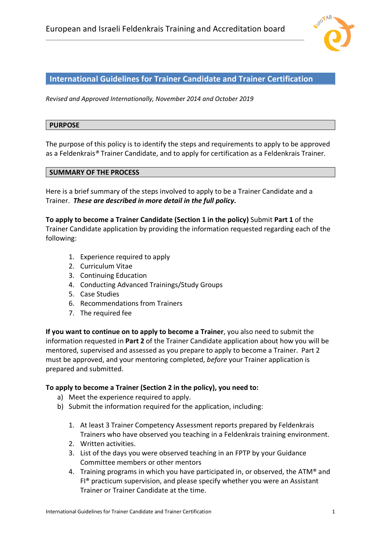

### **International Guidelines for Trainer Candidate and Trainer Certification**

*Revised and Approved Internationally, November 2014 and October 2019*

#### **PURPOSE**

The purpose of this policy is to identify the steps and requirements to apply to be approved as a Feldenkrais*®* Trainer Candidate, and to apply for certification as a Feldenkrais Trainer.

#### **SUMMARY OF THE PROCESS**

Here is a brief summary of the steps involved to apply to be a Trainer Candidate and a Trainer. *These are described in more detail in the full policy.*

**To apply to become a Trainer Candidate (Section 1 in the policy)** Submit **Part 1** of the Trainer Candidate application by providing the information requested regarding each of the following:

- 1. Experience required to apply
- 2. Curriculum Vitae
- 3. Continuing Education
- 4. Conducting Advanced Trainings/Study Groups
- 5. Case Studies
- 6. Recommendations from Trainers
- 7. The required fee

**If you want to continue on to apply to become a Trainer**, you also need to submit the information requested in **Part 2** of the Trainer Candidate application about how you will be mentored, supervised and assessed as you prepare to apply to become a Trainer. Part 2 must be approved, and your mentoring completed, *before* your Trainer application is prepared and submitted.

#### **To apply to become a Trainer (Section 2 in the policy), you need to:**

- a) Meet the experience required to apply.
- b) Submit the information required for the application, including:
	- 1. At least 3 Trainer Competency Assessment reports prepared by Feldenkrais Trainers who have observed you teaching in a Feldenkrais training environment.
	- 2. Written activities.
	- 3. List of the days you were observed teaching in an FPTP by your Guidance Committee members or other mentors
	- 4. Training programs in which you have participated in, or observed, the ATM® and FI® practicum supervision, and please specify whether you were an Assistant Trainer or Trainer Candidate at the time.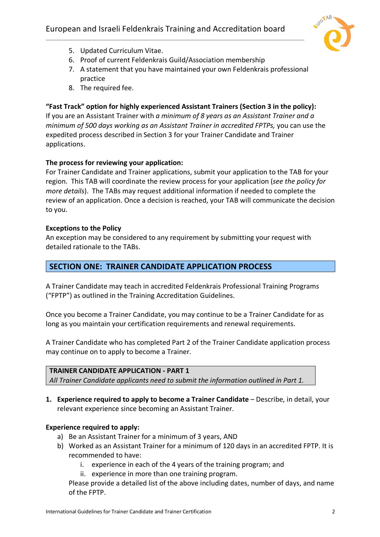

- 5. Updated Curriculum Vitae.
- 6. Proof of current Feldenkrais Guild/Association membership
- 7. A statement that you have maintained your own Feldenkrais professional practice
- 8. The required fee.

# **"Fast Track" option for highly experienced Assistant Trainers (Section 3 in the policy):**

If you are an Assistant Trainer with *a minimum of 8 years as an Assistant Trainer and a minimum of 500 days working as an Assistant Trainer in accredited FPTPs,* you can use the expedited process described in Section 3 for your Trainer Candidate and Trainer applications.

# **The process for reviewing your application:**

For Trainer Candidate and Trainer applications, submit your application to the TAB for your region. This TAB will coordinate the review process for your application (*see the policy for more details*). The TABs may request additional information if needed to complete the review of an application. Once a decision is reached, your TAB will communicate the decision to you.

## **Exceptions to the Policy**

An exception may be considered to any requirement by submitting your request with detailed rationale to the TABs.

# **SECTION ONE: TRAINER CANDIDATE APPLICATION PROCESS**

A Trainer Candidate may teach in accredited Feldenkrais Professional Training Programs ("FPTP") as outlined in the Training Accreditation Guidelines.

Once you become a Trainer Candidate, you may continue to be a Trainer Candidate for as long as you maintain your certification requirements and renewal requirements.

A Trainer Candidate who has completed Part 2 of the Trainer Candidate application process may continue on to apply to become a Trainer.

### **TRAINER CANDIDATE APPLICATION - PART 1**

*All Trainer Candidate applicants need to submit the information outlined in Part 1.*

**1. Experience required to apply to become a Trainer Candidate** – Describe, in detail, your relevant experience since becoming an Assistant Trainer.

### **Experience required to apply:**

- a) Be an Assistant Trainer for a minimum of 3 years, AND
- b) Worked as an Assistant Trainer for a minimum of 120 days in an accredited FPTP. It is recommended to have:
	- i. experience in each of the 4 years of the training program; and
	- ii. experience in more than one training program.

Please provide a detailed list of the above including dates, number of days, and name of the FPTP.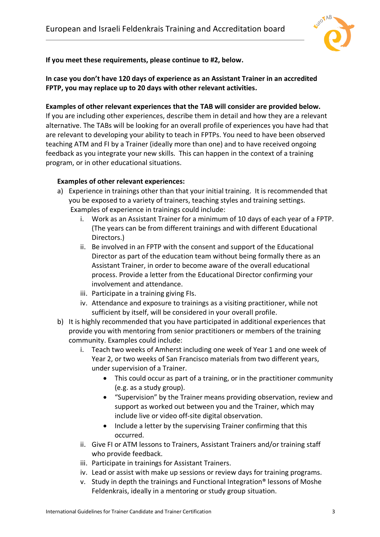

**If you meet these requirements, please continue to #2, below.** 

**In case you don't have 120 days of experience as an Assistant Trainer in an accredited FPTP, you may replace up to 20 days with other relevant activities.**

### **Examples of other relevant experiences that the TAB will consider are provided below.**

If you are including other experiences, describe them in detail and how they are a relevant alternative. The TABs will be looking for an overall profile of experiences you have had that are relevant to developing your ability to teach in FPTPs. You need to have been observed teaching ATM and FI by a Trainer (ideally more than one) and to have received ongoing feedback as you integrate your new skills. This can happen in the context of a training program, or in other educational situations.

## **Examples of other relevant experiences:**

- a) Experience in trainings other than that your initial training. It is recommended that you be exposed to a variety of trainers, teaching styles and training settings. Examples of experience in trainings could include:
	- i. Work as an Assistant Trainer for a minimum of 10 days of each year of a FPTP. (The years can be from different trainings and with different Educational Directors.)
	- ii. Be involved in an FPTP with the consent and support of the Educational Director as part of the education team without being formally there as an Assistant Trainer, in order to become aware of the overall educational process. Provide a letter from the Educational Director confirming your involvement and attendance.
	- iii. Participate in a training giving FIs.
	- iv. Attendance and exposure to trainings as a visiting practitioner, while not sufficient by itself, will be considered in your overall profile.
- b) It is highly recommended that you have participated in additional experiences that provide you with mentoring from senior practitioners or members of the training community. Examples could include:
	- i. Teach two weeks of Amherst including one week of Year 1 and one week of Year 2, or two weeks of San Francisco materials from two different years, under supervision of a Trainer.
		- This could occur as part of a training, or in the practitioner community (e.g. as a study group).
		- "Supervision" by the Trainer means providing observation, review and support as worked out between you and the Trainer, which may include live or video off-site digital observation.
		- Include a letter by the supervising Trainer confirming that this occurred.
	- ii. Give FI or ATM lessons to Trainers, Assistant Trainers and/or training staff who provide feedback.
	- iii. Participate in trainings for Assistant Trainers.
	- iv. Lead or assist with make up sessions or review days for training programs.
	- v. Study in depth the trainings and Functional Integration® lessons of Moshe Feldenkrais, ideally in a mentoring or study group situation.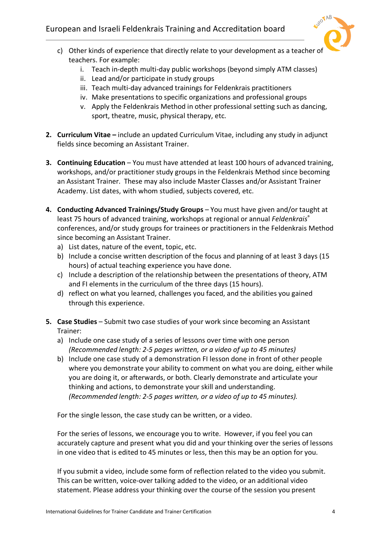# European and Israeli Feldenkrais Training and Accreditation board



- c) Other kinds of experience that directly relate to your development as a teacher of teachers. For example:
	- i. Teach in-depth multi-day public workshops (beyond simply ATM classes)
	- ii. Lead and/or participate in study groups
	- iii. Teach multi-day advanced trainings for Feldenkrais practitioners
	- iv. Make presentations to specific organizations and professional groups
	- v. Apply the Feldenkrais Method in other professional setting such as dancing, sport, theatre, music, physical therapy, etc.
- **2. Curriculum Vitae –** include an updated Curriculum Vitae, including any study in adjunct fields since becoming an Assistant Trainer.
- **3. Continuing Education** You must have attended at least 100 hours of advanced training, workshops, and/or practitioner study groups in the Feldenkrais Method since becoming an Assistant Trainer. These may also include Master Classes and/or Assistant Trainer Academy. List dates, with whom studied, subjects covered, etc.
- **4. Conducting Advanced Trainings/Study Groups** You must have given and/or taught at least 75 hours of advanced training, workshops at regional or annual *Feldenkrais*® conferences, and/or study groups for trainees or practitioners in the Feldenkrais Method since becoming an Assistant Trainer.
	- a) List dates, nature of the event, topic, etc.
	- b) Include a concise written description of the focus and planning of at least 3 days (15 hours) of actual teaching experience you have done.
	- c) Include a description of the relationship between the presentations of theory, ATM and FI elements in the curriculum of the three days (15 hours).
	- d) reflect on what you learned, challenges you faced, and the abilities you gained through this experience.
- **5. Case Studies**  Submit two case studies of your work since becoming an Assistant Trainer:
	- a) Include one case study of a series of lessons over time with one person *(Recommended length: 2-5 pages written, or a video of up to 45 minutes)*
	- b) Include one case study of a demonstration FI lesson done in front of other people where you demonstrate your ability to comment on what you are doing, either while you are doing it, or afterwards, or both. Clearly demonstrate and articulate your thinking and actions, to demonstrate your skill and understanding. *(Recommended length: 2-5 pages written, or a video of up to 45 minutes).*

For the single lesson, the case study can be written, or a video.

For the series of lessons, we encourage you to write. However, if you feel you can accurately capture and present what you did and your thinking over the series of lessons in one video that is edited to 45 minutes or less, then this may be an option for you.

If you submit a video, include some form of reflection related to the video you submit. This can be written, voice-over talking added to the video, or an additional video statement. Please address your thinking over the course of the session you present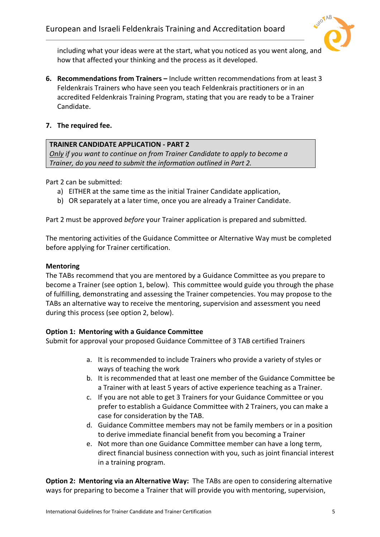

including what your ideas were at the start, what you noticed as you went along, and how that affected your thinking and the process as it developed.

- **6. Recommendations from Trainers –** Include written recommendations from at least 3 Feldenkrais Trainers who have seen you teach Feldenkrais practitioners or in an accredited Feldenkrais Training Program, stating that you are ready to be a Trainer Candidate.
- **7. The required fee.**

## **TRAINER CANDIDATE APPLICATION - PART 2**

*Only if you want to continue on from Trainer Candidate to apply to become a Trainer, do you need to submit the information outlined in Part 2.*

Part 2 can be submitted:

- a) EITHER at the same time as the initial Trainer Candidate application,
- b) OR separately at a later time, once you are already a Trainer Candidate.

Part 2 must be approved *before* your Trainer application is prepared and submitted.

The mentoring activities of the Guidance Committee or Alternative Way must be completed before applying for Trainer certification.

### **Mentoring**

The TABs recommend that you are mentored by a Guidance Committee as you prepare to become a Trainer (see option 1, below). This committee would guide you through the phase of fulfilling, demonstrating and assessing the Trainer competencies. You may propose to the TABs an alternative way to receive the mentoring, supervision and assessment you need during this process (see option 2, below).

# **Option 1: Mentoring with a Guidance Committee**

Submit for approval your proposed Guidance Committee of 3 TAB certified Trainers

- a. It is recommended to include Trainers who provide a variety of styles or ways of teaching the work
- b. It is recommended that at least one member of the Guidance Committee be a Trainer with at least 5 years of active experience teaching as a Trainer.
- c. If you are not able to get 3 Trainers for your Guidance Committee or you prefer to establish a Guidance Committee with 2 Trainers, you can make a case for consideration by the TAB.
- d. Guidance Committee members may not be family members or in a position to derive immediate financial benefit from you becoming a Trainer
- e. Not more than one Guidance Committee member can have a long term, direct financial business connection with you, such as joint financial interest in a training program.

**Option 2: Mentoring via an Alternative Way:** The TABs are open to considering alternative ways for preparing to become a Trainer that will provide you with mentoring, supervision,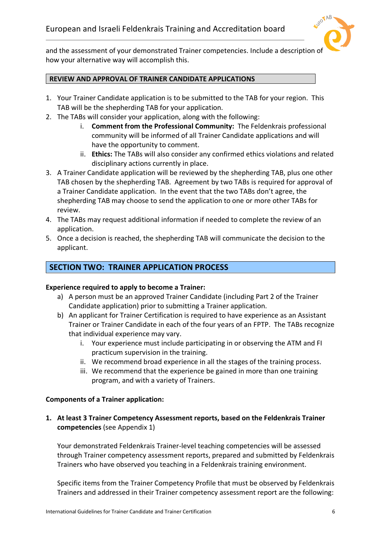

and the assessment of your demonstrated Trainer competencies. Include a description o how your alternative way will accomplish this.

### **REVIEW AND APPROVAL OF TRAINER CANDIDATE APPLICATIONS**

- 1. Your Trainer Candidate application is to be submitted to the TAB for your region. This TAB will be the shepherding TAB for your application.
- 2. The TABs will consider your application, along with the following:
	- i. **Comment from the Professional Community:** The Feldenkrais professional community will be informed of all Trainer Candidate applications and will have the opportunity to comment.
	- ii. **Ethics:** The TABs will also consider any confirmed ethics violations and related disciplinary actions currently in place.
- 3. A Trainer Candidate application will be reviewed by the shepherding TAB, plus one other TAB chosen by the shepherding TAB. Agreement by two TABs is required for approval of a Trainer Candidate application. In the event that the two TABs don't agree, the shepherding TAB may choose to send the application to one or more other TABs for review.
- 4. The TABs may request additional information if needed to complete the review of an application.
- 5. Once a decision is reached, the shepherding TAB will communicate the decision to the applicant.

# **SECTION TWO: TRAINER APPLICATION PROCESS**

### **Experience required to apply to become a Trainer:**

- a) A person must be an approved Trainer Candidate (including Part 2 of the Trainer Candidate application) prior to submitting a Trainer application.
- b) An applicant for Trainer Certification is required to have experience as an Assistant Trainer or Trainer Candidate in each of the four years of an FPTP. The TABs recognize that individual experience may vary.
	- i. Your experience must include participating in or observing the ATM and FI practicum supervision in the training.
	- ii. We recommend broad experience in all the stages of the training process.
	- iii. We recommend that the experience be gained in more than one training program, and with a variety of Trainers.

### **Components of a Trainer application:**

**1. At least 3 Trainer Competency Assessment reports, based on the Feldenkrais Trainer competencies** (see Appendix 1)

Your demonstrated Feldenkrais Trainer-level teaching competencies will be assessed through Trainer competency assessment reports, prepared and submitted by Feldenkrais Trainers who have observed you teaching in a Feldenkrais training environment.

Specific items from the Trainer Competency Profile that must be observed by Feldenkrais Trainers and addressed in their Trainer competency assessment report are the following: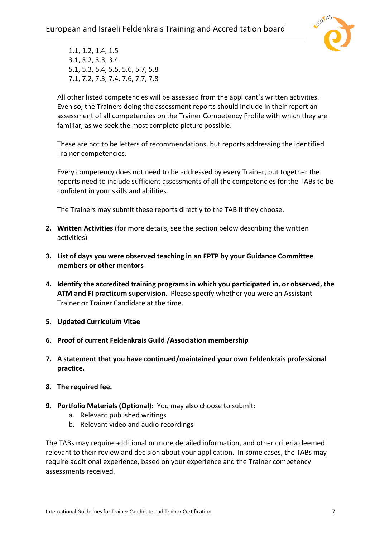

1.1, 1.2, 1.4, 1.5 3.1, 3.2, 3.3, 3.4 5.1, 5.3, 5.4, 5.5, 5.6, 5.7, 5.8 7.1, 7.2, 7.3, 7.4, 7.6, 7.7, 7.8

All other listed competencies will be assessed from the applicant's written activities. Even so, the Trainers doing the assessment reports should include in their report an assessment of all competencies on the Trainer Competency Profile with which they are familiar, as we seek the most complete picture possible.

These are not to be letters of recommendations, but reports addressing the identified Trainer competencies.

Every competency does not need to be addressed by every Trainer, but together the reports need to include sufficient assessments of all the competencies for the TABs to be confident in your skills and abilities.

The Trainers may submit these reports directly to the TAB if they choose.

- **2. Written Activities** (for more details, see the section below describing the written activities)
- **3. List of days you were observed teaching in an FPTP by your Guidance Committee members or other mentors**
- **4. Identify the accredited training programs in which you participated in, or observed, the ATM and FI practicum supervision.** Please specify whether you were an Assistant Trainer or Trainer Candidate at the time.
- **5. Updated Curriculum Vitae**
- **6. Proof of current Feldenkrais Guild /Association membership**
- **7. A statement that you have continued/maintained your own Feldenkrais professional practice.**
- **8. The required fee.**
- **9. Portfolio Materials (Optional):** You may also choose to submit:
	- a. Relevant published writings
	- b. Relevant video and audio recordings

The TABs may require additional or more detailed information, and other criteria deemed relevant to their review and decision about your application. In some cases, the TABs may require additional experience, based on your experience and the Trainer competency assessments received.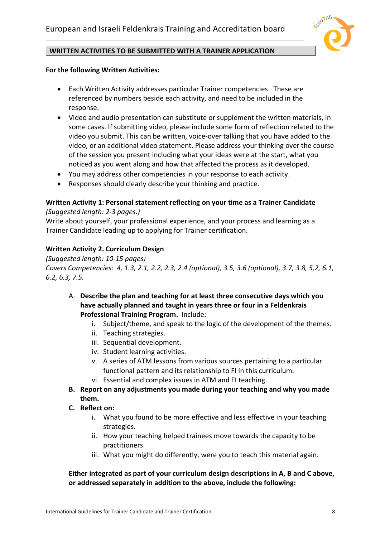

### **WRITTEN ACTIVITIES TO BE SUBMITTED WITH A TRAINER APPLICATION**

#### **For the following Written Activities:**

- Each Written Activity addresses particular Trainer competencies. These are referenced by numbers beside each activity, and need to be included in the response.
- Video and audio presentation can substitute or supplement the written materials, in some cases. If submitting video, please include some form of reflection related to the video you submit. This can be written, voice-over talking that you have added to the video, or an additional video statement. Please address your thinking over the course of the session you present including what your ideas were at the start, what you noticed as you went along and how that affected the process as it developed.
- You may address other competencies in your response to each activity.
- Responses should clearly describe your thinking and practice.

#### **Written Activity 1: Personal statement reflecting on your time as a Trainer Candidate** *(Suggested length: 2-3 pages.)*

Write about yourself, your professional experience, and your process and learning as a Trainer Candidate leading up to applying for Trainer certification.

## **Written Activity 2. Curriculum Design**

*(Suggested length: 10-15 pages) Covers Competencies: 4, 1.3, 2.1, 2.2, 2.3, 2.4 (optional), 3.5, 3.6 (optional), 3.7, 3.8, 5,2, 6.1, 6.2, 6.3, 7.5.* 

- A. **Describe the plan and teaching for at least three consecutive days which you have actually planned and taught in years three or four in a Feldenkrais Professional Training Program.** Include:
	- i. Subject/theme, and speak to the logic of the development of the themes.
	- ii. Teaching strategies.
	- iii. Sequential development.
	- iv. Student learning activities.
	- v. A series of ATM lessons from various sources pertaining to a particular functional pattern and its relationship to FI in this curriculum.
	- vi. Essential and complex issues in ATM and FI teaching.
- **B. Report on any adjustments you made during your teaching and why you made them.**
- **C. Reflect on:**
	- i. What you found to be more effective and less effective in your teaching strategies.
	- ii. How your teaching helped trainees move towards the capacity to be practitioners.
	- iii. What you might do differently, were you to teach this material again.

## **Either integrated as part of your curriculum design descriptions in A, B and C above, or addressed separately in addition to the above, include the following:**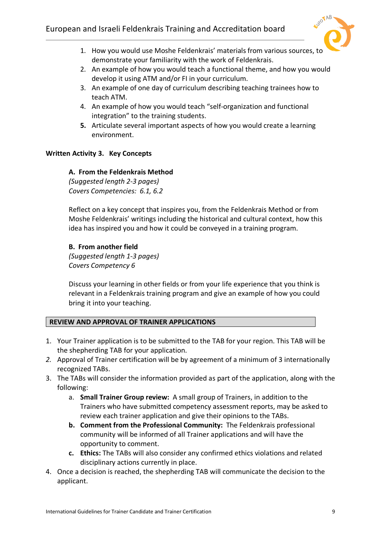

- 1. How you would use Moshe Feldenkrais' materials from various sources, to demonstrate your familiarity with the work of Feldenkrais.
- 2. An example of how you would teach a functional theme, and how you would develop it using ATM and/or FI in your curriculum.
- 3. An example of one day of curriculum describing teaching trainees how to teach ATM.
- 4. An example of how you would teach "self-organization and functional integration" to the training students.
- **5.** Articulate several important aspects of how you would create a learning environment.

# **Written Activity 3. Key Concepts**

## **A. From the Feldenkrais Method**

*(Suggested length 2-3 pages) Covers Competencies: 6.1, 6.2*

Reflect on a key concept that inspires you, from the Feldenkrais Method or from Moshe Feldenkrais' writings including the historical and cultural context, how this idea has inspired you and how it could be conveyed in a training program.

## **B. From another field**

*(Suggested length 1-3 pages) Covers Competency 6*

Discuss your learning in other fields or from your life experience that you think is relevant in a Feldenkrais training program and give an example of how you could bring it into your teaching.

### **REVIEW AND APPROVAL OF TRAINER APPLICATIONS**

- 1. Your Trainer application is to be submitted to the TAB for your region. This TAB will be the shepherding TAB for your application.
- *2.* Approval of Trainer certification will be by agreement of a minimum of 3 internationally recognized TABs.
- 3. The TABs will consider the information provided as part of the application, along with the following:
	- a. **Small Trainer Group review:** A small group of Trainers, in addition to the Trainers who have submitted competency assessment reports, may be asked to review each trainer application and give their opinions to the TABs.
	- **b. Comment from the Professional Community:** The Feldenkrais professional community will be informed of all Trainer applications and will have the opportunity to comment.
	- **c. Ethics:** The TABs will also consider any confirmed ethics violations and related disciplinary actions currently in place.
- 4. Once a decision is reached, the shepherding TAB will communicate the decision to the applicant.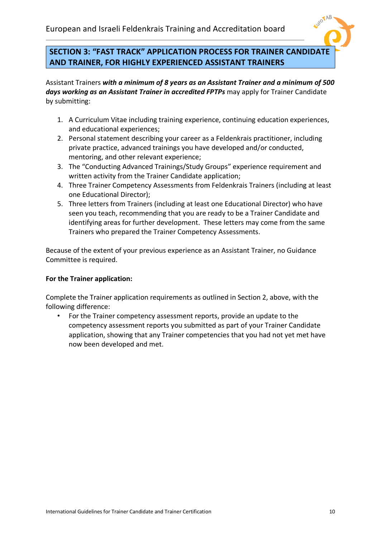

# **SECTION 3: "FAST TRACK" APPLICATION PROCESS FOR TRAINER CANDIDATE AND TRAINER, FOR HIGHLY EXPERIENCED ASSISTANT TRAINERS**

Assistant Trainers *with a minimum of 8 years as an Assistant Trainer and a minimum of 500 days working as an Assistant Trainer in accredited FPTPs* may apply for Trainer Candidate by submitting:

- 1. A Curriculum Vitae including training experience, continuing education experiences, and educational experiences;
- 2. Personal statement describing your career as a Feldenkrais practitioner, including private practice, advanced trainings you have developed and/or conducted, mentoring, and other relevant experience;
- 3. The "Conducting Advanced Trainings/Study Groups" experience requirement and written activity from the Trainer Candidate application;
- 4. Three Trainer Competency Assessments from Feldenkrais Trainers (including at least one Educational Director);
- 5. Three letters from Trainers (including at least one Educational Director) who have seen you teach, recommending that you are ready to be a Trainer Candidate and identifying areas for further development. These letters may come from the same Trainers who prepared the Trainer Competency Assessments.

Because of the extent of your previous experience as an Assistant Trainer, no Guidance Committee is required.

### **For the Trainer application:**

Complete the Trainer application requirements as outlined in Section 2, above, with the following difference:

• For the Trainer competency assessment reports, provide an update to the competency assessment reports you submitted as part of your Trainer Candidate application, showing that any Trainer competencies that you had not yet met have now been developed and met.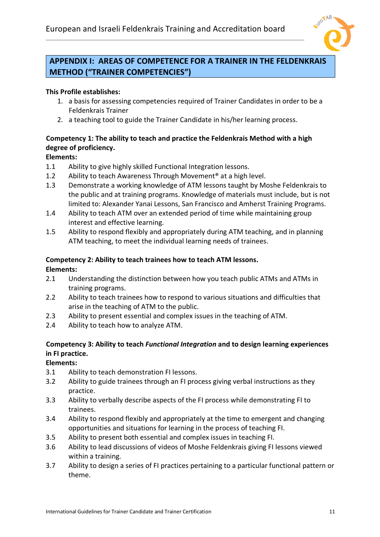

# **APPENDIX I: AREAS OF COMPETENCE FOR A TRAINER IN THE FELDENKRAIS METHOD ("TRAINER COMPETENCIES")**

# **This Profile establishes:**

- 1. a basis for assessing competencies required of Trainer Candidates in order to be a Feldenkrais Trainer
- 2. a teaching tool to guide the Trainer Candidate in his/her learning process.

# **Competency 1: The ability to teach and practice the Feldenkrais Method with a high degree of proficiency.**

# **Elements:**

- 1.1 Ability to give highly skilled Functional Integration lessons.
- 1.2 Ability to teach Awareness Through Movement<sup>®</sup> at a high level.
- 1.3 Demonstrate a working knowledge of ATM lessons taught by Moshe Feldenkrais to the public and at training programs. Knowledge of materials must include, but is not limited to: Alexander Yanai Lessons, San Francisco and Amherst Training Programs.
- 1.4 Ability to teach ATM over an extended period of time while maintaining group interest and effective learning.
- 1.5 Ability to respond flexibly and appropriately during ATM teaching, and in planning ATM teaching, to meet the individual learning needs of trainees.

# **Competency 2: Ability to teach trainees how to teach ATM lessons.**

### **Elements:**

- 2.1 Understanding the distinction between how you teach public ATMs and ATMs in training programs.
- 2.2 Ability to teach trainees how to respond to various situations and difficulties that arise in the teaching of ATM to the public.
- 2.3 Ability to present essential and complex issues in the teaching of ATM.
- 2.4 Ability to teach how to analyze ATM.

## **Competency 3: Ability to teach** *Functional Integration* **and to design learning experiences in FI practice.**

# **Elements:**

- 3.1 Ability to teach demonstration FI lessons.
- 3.2 Ability to guide trainees through an FI process giving verbal instructions as they practice.
- 3.3 Ability to verbally describe aspects of the FI process while demonstrating FI to trainees.
- 3.4 Ability to respond flexibly and appropriately at the time to emergent and changing opportunities and situations for learning in the process of teaching FI.
- 3.5 Ability to present both essential and complex issues in teaching FI.
- 3.6 Ability to lead discussions of videos of Moshe Feldenkrais giving FI lessons viewed within a training.
- 3.7 Ability to design a series of FI practices pertaining to a particular functional pattern or theme.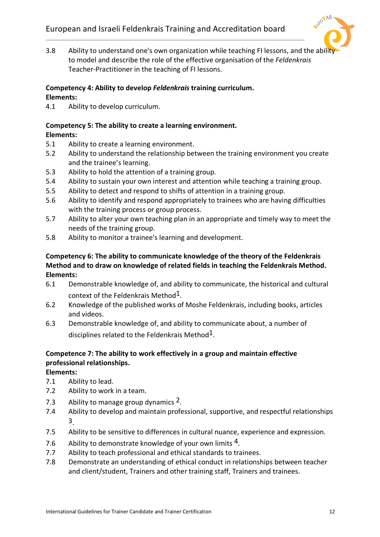

3.8 Ability to understand one's own organization while teaching FI lessons, and the abilit to model and describe the role of the effective organisation of the *Feldenkrais*  Teacher-Practitioner in the teaching of FI lessons.

## **Competency 4: Ability to develop** *Feldenkrais* **training curriculum.**

# **Elements:**

4.1 Ability to develop curriculum.

#### **Competency 5: The ability to create a learning environment. Elements:**

- 5.1 Ability to create a learning environment.
- 5.2 Ability to understand the relationship between the training environment you create and the trainee's learning.
- 5.3 Ability to hold the attention of a training group.
- 5.4 Ability to sustain your own interest and attention while teaching a training group.
- 5.5 Ability to detect and respond to shifts of attention in a training group.
- 5.6 Ability to identify and respond appropriately to trainees who are having difficulties with the training process or group process.
- 5.7 Ability to alter your own teaching plan in an appropriate and timely way to meet the needs of the training group.
- 5.8 Ability to monitor a trainee's learning and development.

## **Competency 6: The ability to communicate knowledge of the theory of the Feldenkrais Method and to draw on knowledge of related fields in teaching the Feldenkrais Method. Elements:**

- 6.1 Demonstrable knowledge of, and ability to communicate, the historical and cultural context of the Feldenkrais Method $1$ .
- 6.2 Knowledge of the published works of Moshe Feldenkrais, including books, articles and videos.
- 6.3 Demonstrable knowledge of, and ability to communicate about, a number of disciplines related to the Feldenkrais Method<sup>1</sup>.

# **Competence 7: The ability to work effectively in a group and maintain effective professional relationships.**

**Elements:**

- 7.1 Ability to lead.
- 7.2 Ability to work in a team.
- 7.3 Ability to manage group dynamics  $2$ .
- 7.4 Ability to develop and maintain professional, supportive, and respectful relationships 3.
- 7.5 Ability to be sensitive to differences in cultural nuance, experience and expression.
- 7.6 Ability to demonstrate knowledge of your own limits  $4$ .
- 7.7 Ability to teach professional and ethical standards to trainees.
- 7.8 Demonstrate an understanding of ethical conduct in relationships between teacher and client/student, Trainers and other training staff, Trainers and trainees.